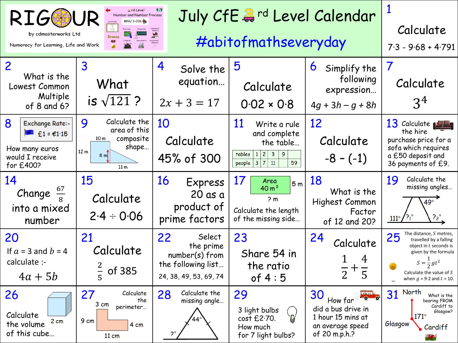| <b>RIGG</b><br>by cdmasterworks Ltd<br>Numeracy for Learning, Life and Work                               | Calculate<br>$7.3 - 9.68 + 4.791$                                                                                        |                                                                                               |                                                                                                                    |                                                                                                                          |                                                                                                                                                                                                 |
|-----------------------------------------------------------------------------------------------------------|--------------------------------------------------------------------------------------------------------------------------|-----------------------------------------------------------------------------------------------|--------------------------------------------------------------------------------------------------------------------|--------------------------------------------------------------------------------------------------------------------------|-------------------------------------------------------------------------------------------------------------------------------------------------------------------------------------------------|
| $\mathbf{2}$<br>What is the<br>Lowest Common<br>Multiple<br>of 8 and 6?                                   | $\overline{3}$<br>What<br>is $\sqrt{121}$ ?                                                                              | 4<br>Solve the<br>equation<br>$2x + 3 = 17$                                                   | 5<br>Calculate<br>$0.02 \times 0.8$                                                                                | 6<br>Simplify the<br>following<br>expression<br>$4g + 3h - g + 8h$                                                       | $\overline{7}$<br>Calculate<br>3 <sup>4</sup>                                                                                                                                                   |
| 8<br><b>Exchange Rate:-</b><br>$\epsilon$ £1 = €1.15<br>How many euros<br>would I receive<br>for $£400$ ? | Calculate the<br>9<br>area of this<br>composite<br>10 <sub>m</sub><br>shape<br>12 <sub>m</sub><br>8 m<br>11 <sub>m</sub> | 10<br>Calculate<br>45% of 300                                                                 | 11<br>Write a rule<br>and complete<br>the table<br>3 9 <br>tables<br> 2 <br>-1<br>3 7 <br>11<br>59<br>people       | 12<br>Calculate<br>$-8 - (-1)$                                                                                           | 13 Calculate <b>15 List</b><br>the hire<br>purchase price for a<br>sofa which requires<br>a £50 deposit and<br>36 payments of £9.                                                               |
| 14<br>Change $\frac{67}{8}$<br>into a mixed<br>number                                                     | 15<br>Calculate<br>$2.4 \div 0.06$                                                                                       | <u>16</u><br>Express<br>$20$ as a<br>product of<br>prime factors                              | 17<br>Area<br>5 <sub>m</sub><br>40 m <sup>2</sup><br>2 <sub>m</sub><br>Calculate the length<br>of the missing side | 18<br>What is the<br>Highest Common<br>Factor<br>of 12 and 20?                                                           | Calculate the<br>19<br>missing angles<br>$49^\circ$<br>$111^\circ$                                                                                                                              |
| 20<br>If $a = 3$ and $b = 4$<br>calculate :-<br>$4a + 5b$                                                 | 21<br>Calculate<br>of 385                                                                                                | 22<br>Select<br>the prime<br>$number(s)$ from<br>the following list<br>24, 38, 49, 53, 69, 74 | 23<br>Share 54 in<br>the ratio<br>of $4:5$                                                                         | 24<br>Calculate<br>4<br>$\frac{1}{2} + \frac{1}{5}$                                                                      | The distance, S metres,<br>25<br>travelled by a falling<br>object in t seconds is<br>given by the formula<br>$S=\frac{1}{2}gt^2$<br>Calculate the value of $S$<br>when $g = 9.2$ and $t = 10$ . |
| 26<br>Calculate<br>2 cm<br>the volume<br>of this cube                                                     | 27<br>Calculate<br>the<br>3 cm<br>perimeter<br>9 cm<br>4 cm<br>$11 \text{ cm}$                                           | Calculate the<br>28<br>missing angle                                                          | 29<br>3 light bulbs<br>L<br>cost £2.70.<br>How much<br>for 7 light bulbs?                                          | <b>Sekter 12</b><br>30<br>- 0<br>How far<br>did a bus drive in<br>1 hour 15 mins at<br>an average speed<br>of 20 m.p.h.? | North<br>31<br>What is the<br>bearing FROM<br>Cardiff to<br>Glasgow?<br>$171^\circ$<br>Glasgow<br>Cardiff<br>74                                                                                 |